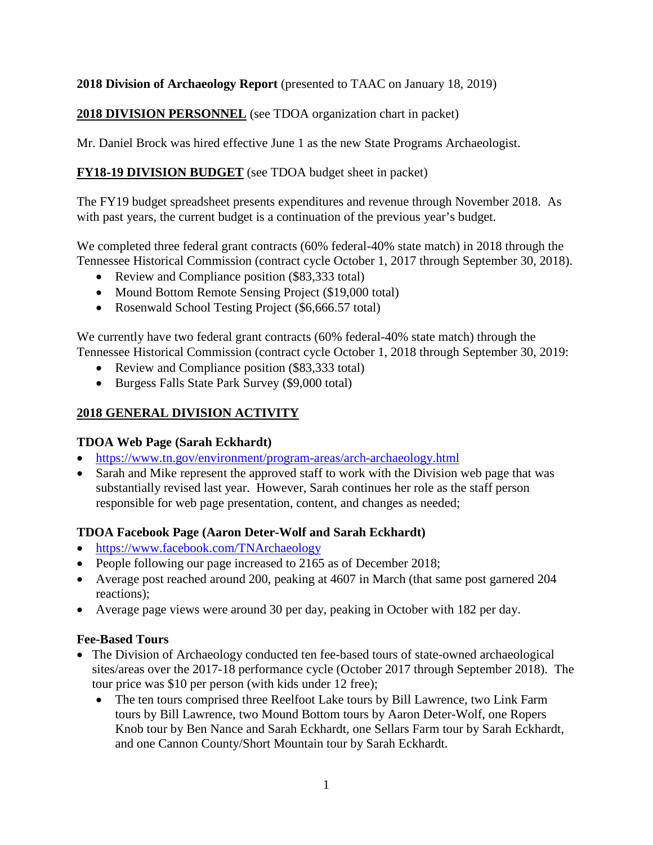## **2018 Division of Archaeology Report** (presented to TAAC on January 18, 2019)

# **2018 DIVISION PERSONNEL** (see TDOA organization chart in packet)

Mr. Daniel Brock was hired effective June 1 as the new State Programs Archaeologist.

# **FY18-19 DIVISION BUDGET** (see TDOA budget sheet in packet)

The FY19 budget spreadsheet presents expenditures and revenue through November 2018. As with past years, the current budget is a continuation of the previous year's budget.

We completed three federal grant contracts (60% federal-40% state match) in 2018 through the Tennessee Historical Commission (contract cycle October 1, 2017 through September 30, 2018).

- Review and Compliance position (\$83,333 total)
- Mound Bottom Remote Sensing Project (\$19,000 total)
- Rosenwald School Testing Project (\$6,666.57 total)

We currently have two federal grant contracts (60% federal-40% state match) through the Tennessee Historical Commission (contract cycle October 1, 2018 through September 30, 2019:

- Review and Compliance position (\$83,333 total)
- Burgess Falls State Park Survey (\$9,000 total)

# **2018 GENERAL DIVISION ACTIVITY**

### **TDOA Web Page (Sarah Eckhardt)**

- <https://www.tn.gov/environment/program-areas/arch-archaeology.html>
- Sarah and Mike represent the approved staff to work with the Division web page that was substantially revised last year. However, Sarah continues her role as the staff person responsible for web page presentation, content, and changes as needed;

### **TDOA Facebook Page (Aaron Deter-Wolf and Sarah Eckhardt)**

- <https://www.facebook.com/TNArchaeology>
- People following our page increased to 2165 as of December 2018;
- Average post reached around 200, peaking at 4607 in March (that same post garnered 204 reactions);
- Average page views were around 30 per day, peaking in October with 182 per day.

### **Fee-Based Tours**

- The Division of Archaeology conducted ten fee-based tours of state-owned archaeological sites/areas over the 2017-18 performance cycle (October 2017 through September 2018). The tour price was \$10 per person (with kids under 12 free);
	- The ten tours comprised three Reelfoot Lake tours by Bill Lawrence, two Link Farm tours by Bill Lawrence, two Mound Bottom tours by Aaron Deter-Wolf, one Ropers Knob tour by Ben Nance and Sarah Eckhardt, one Sellars Farm tour by Sarah Eckhardt, and one Cannon County/Short Mountain tour by Sarah Eckhardt.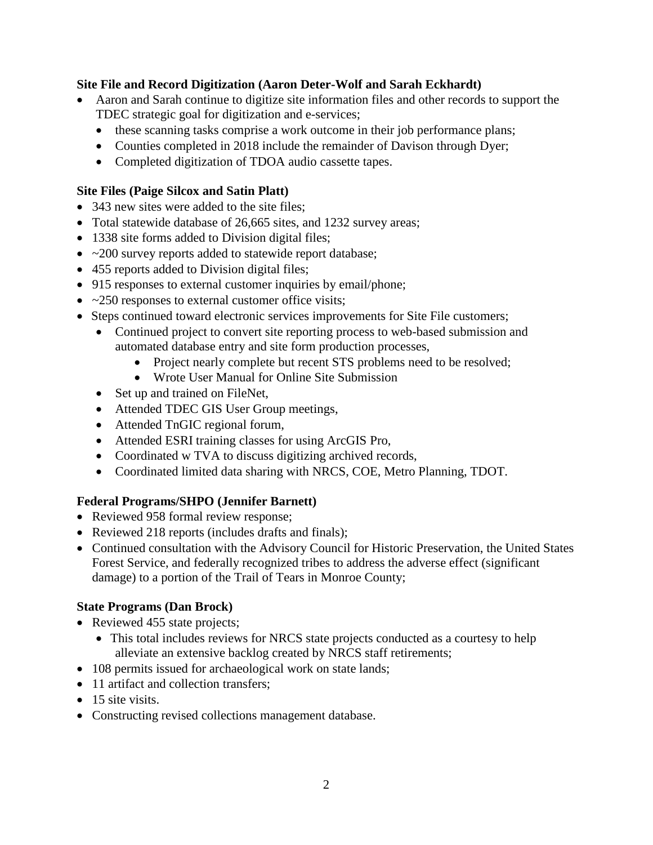### **Site File and Record Digitization (Aaron Deter-Wolf and Sarah Eckhardt)**

- Aaron and Sarah continue to digitize site information files and other records to support the TDEC strategic goal for digitization and e-services;
	- these scanning tasks comprise a work outcome in their job performance plans;
	- Counties completed in 2018 include the remainder of Davison through Dyer;
	- Completed digitization of TDOA audio cassette tapes.

## **Site Files (Paige Silcox and Satin Platt)**

- 343 new sites were added to the site files;
- Total statewide database of 26,665 sites, and 1232 survey areas;
- 1338 site forms added to Division digital files;
- ~200 survey reports added to statewide report database;
- 455 reports added to Division digital files;
- 915 responses to external customer inquiries by email/phone;
- $\bullet$  ~250 responses to external customer office visits;
- Steps continued toward electronic services improvements for Site File customers;
	- Continued project to convert site reporting process to web-based submission and automated database entry and site form production processes,
		- Project nearly complete but recent STS problems need to be resolved;
		- Wrote User Manual for Online Site Submission
	- Set up and trained on FileNet.
	- Attended TDEC GIS User Group meetings,
	- Attended TnGIC regional forum,
	- Attended ESRI training classes for using ArcGIS Pro,
	- Coordinated w TVA to discuss digitizing archived records,
	- Coordinated limited data sharing with NRCS, COE, Metro Planning, TDOT.

# **Federal Programs/SHPO (Jennifer Barnett)**

- Reviewed 958 formal review response;
- Reviewed 218 reports (includes drafts and finals);
- Continued consultation with the Advisory Council for Historic Preservation, the United States Forest Service, and federally recognized tribes to address the adverse effect (significant damage) to a portion of the Trail of Tears in Monroe County;

# **State Programs (Dan Brock)**

- Reviewed 455 state projects;
	- This total includes reviews for NRCS state projects conducted as a courtesy to help alleviate an extensive backlog created by NRCS staff retirements;
- 108 permits issued for archaeological work on state lands;
- 11 artifact and collection transfers;
- 15 site visits.
- Constructing revised collections management database.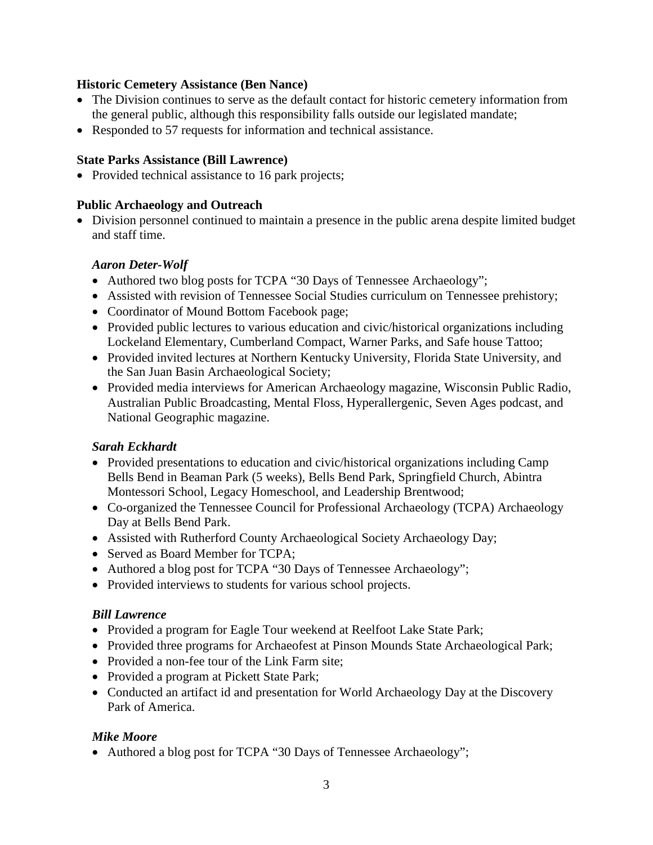#### **Historic Cemetery Assistance (Ben Nance)**

- The Division continues to serve as the default contact for historic cemetery information from the general public, although this responsibility falls outside our legislated mandate;
- Responded to 57 requests for information and technical assistance.

#### **State Parks Assistance (Bill Lawrence)**

• Provided technical assistance to 16 park projects;

#### **Public Archaeology and Outreach**

• Division personnel continued to maintain a presence in the public arena despite limited budget and staff time.

#### *Aaron Deter-Wolf*

- Authored two blog posts for TCPA "30 Days of Tennessee Archaeology";
- Assisted with revision of Tennessee Social Studies curriculum on Tennessee prehistory;
- Coordinator of Mound Bottom Facebook page;
- Provided public lectures to various education and civic/historical organizations including Lockeland Elementary, Cumberland Compact, Warner Parks, and Safe house Tattoo;
- Provided invited lectures at Northern Kentucky University, Florida State University, and the San Juan Basin Archaeological Society;
- Provided media interviews for American Archaeology magazine, Wisconsin Public Radio, Australian Public Broadcasting, Mental Floss, Hyperallergenic, Seven Ages podcast, and National Geographic magazine.

### *Sarah Eckhardt*

- Provided presentations to education and civic/historical organizations including Camp Bells Bend in Beaman Park (5 weeks), Bells Bend Park, Springfield Church, Abintra Montessori School, Legacy Homeschool, and Leadership Brentwood;
- Co-organized the Tennessee Council for Professional Archaeology (TCPA) Archaeology Day at Bells Bend Park.
- Assisted with Rutherford County Archaeological Society Archaeology Day;
- Served as Board Member for TCPA;
- Authored a blog post for TCPA "30 Days of Tennessee Archaeology";
- Provided interviews to students for various school projects.

#### *Bill Lawrence*

- Provided a program for Eagle Tour weekend at Reelfoot Lake State Park;
- Provided three programs for Archaeofest at Pinson Mounds State Archaeological Park;
- Provided a non-fee tour of the Link Farm site;
- Provided a program at Pickett State Park;
- Conducted an artifact id and presentation for World Archaeology Day at the Discovery Park of America.

### *Mike Moore*

• Authored a blog post for TCPA "30 Days of Tennessee Archaeology";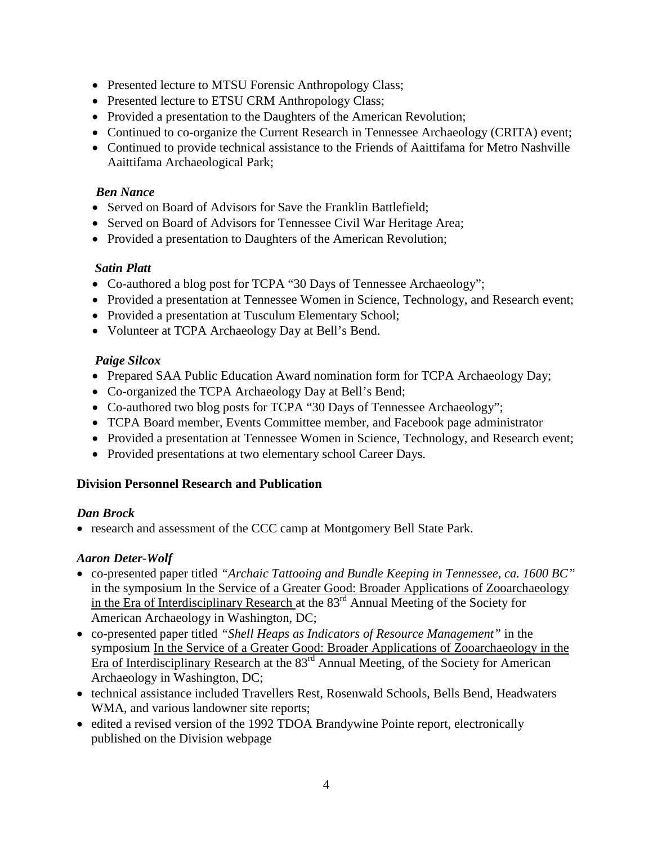- Presented lecture to MTSU Forensic Anthropology Class;
- Presented lecture to ETSU CRM Anthropology Class;
- Provided a presentation to the Daughters of the American Revolution;
- Continued to co-organize the Current Research in Tennessee Archaeology (CRITA) event;
- Continued to provide technical assistance to the Friends of Aaittifama for Metro Nashville Aaittifama Archaeological Park;

## *Ben Nance*

- Served on Board of Advisors for Save the Franklin Battlefield:
- Served on Board of Advisors for Tennessee Civil War Heritage Area;
- Provided a presentation to Daughters of the American Revolution;

### *Satin Platt*

- Co-authored a blog post for TCPA "30 Days of Tennessee Archaeology";
- Provided a presentation at Tennessee Women in Science, Technology, and Research event;
- Provided a presentation at Tusculum Elementary School;
- Volunteer at TCPA Archaeology Day at Bell's Bend.

# *Paige Silcox*

- Prepared SAA Public Education Award nomination form for TCPA Archaeology Day;
- Co-organized the TCPA Archaeology Day at Bell's Bend;
- Co-authored two blog posts for TCPA "30 Days of Tennessee Archaeology";
- TCPA Board member, Events Committee member, and Facebook page administrator
- Provided a presentation at Tennessee Women in Science, Technology, and Research event;
- Provided presentations at two elementary school Career Days.

# **Division Personnel Research and Publication**

### *Dan Brock*

• research and assessment of the CCC camp at Montgomery Bell State Park.

# *Aaron Deter-Wolf*

- co-presented paper titled *"Archaic Tattooing and Bundle Keeping in Tennessee, ca. 1600 BC"* in the symposium In the Service of a Greater Good: Broader Applications of Zooarchaeology in the Era of Interdisciplinary Research at the  $83<sup>rd</sup>$  Annual Meeting of the Society for American Archaeology in Washington, DC;
- co-presented paper titled *"Shell Heaps as Indicators of Resource Management"* in the symposium In the Service of a Greater Good: Broader Applications of Zooarchaeology in the Era of Interdisciplinary Research at the 83<sup>rd</sup> Annual Meeting, of the Society for American Archaeology in Washington, DC;
- technical assistance included Travellers Rest, Rosenwald Schools, Bells Bend, Headwaters WMA, and various landowner site reports;
- edited a revised version of the 1992 TDOA Brandywine Pointe report, electronically published on the Division webpage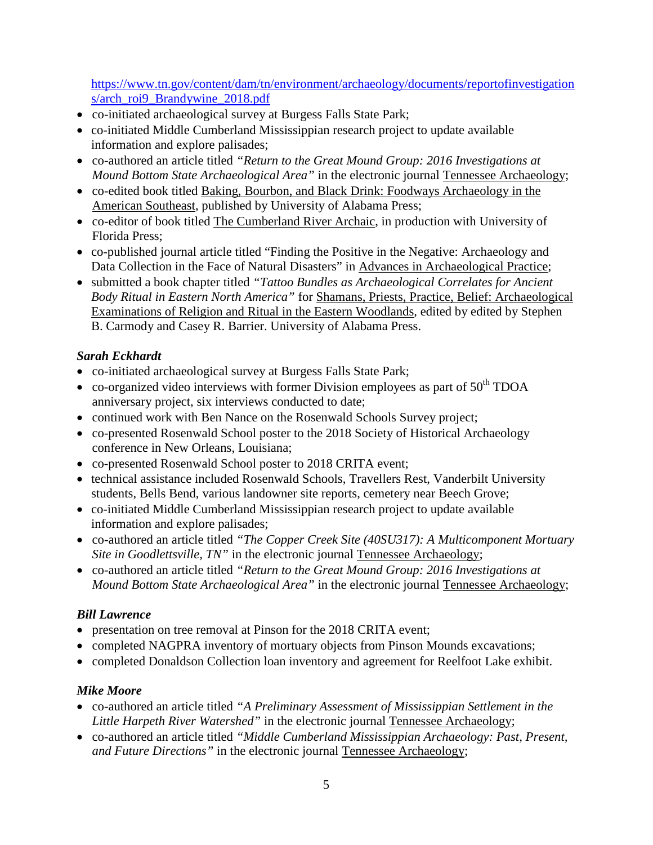[https://www.tn.gov/content/dam/tn/environment/archaeology/documents/reportofinvestigation](https://www.tn.gov/content/dam/tn/environment/archaeology/documents/reportofinvestigations/arch_roi9_Brandywine_2018.pdf) [s/arch\\_roi9\\_Brandywine\\_2018.pdf](https://www.tn.gov/content/dam/tn/environment/archaeology/documents/reportofinvestigations/arch_roi9_Brandywine_2018.pdf)

- co-initiated archaeological survey at Burgess Falls State Park;
- co-initiated Middle Cumberland Mississippian research project to update available information and explore palisades;
- co-authored an article titled *"Return to the Great Mound Group: 2016 Investigations at Mound Bottom State Archaeological Area"* in the electronic journal Tennessee Archaeology;
- co-edited book titled Baking, Bourbon, and Black Drink: Foodways Archaeology in the American Southeast, published by University of Alabama Press;
- co-editor of book titled The Cumberland River Archaic, in production with University of Florida Press;
- co-published journal article titled "Finding the Positive in the Negative: Archaeology and Data Collection in the Face of Natural Disasters" in Advances in Archaeological Practice;
- submitted a book chapter titled *"Tattoo Bundles as Archaeological Correlates for Ancient Body Ritual in Eastern North America"* for Shamans, Priests, Practice, Belief: Archaeological Examinations of Religion and Ritual in the Eastern Woodlands*,* edited by edited by Stephen B. Carmody and Casey R. Barrier. University of Alabama Press.

# *Sarah Eckhardt*

- co-initiated archaeological survey at Burgess Falls State Park;
- co-organized video interviews with former Division employees as part of  $50<sup>th</sup> TDOA$ anniversary project, six interviews conducted to date;
- continued work with Ben Nance on the Rosenwald Schools Survey project;
- co-presented Rosenwald School poster to the 2018 Society of Historical Archaeology conference in New Orleans, Louisiana;
- co-presented Rosenwald School poster to 2018 CRITA event;
- technical assistance included Rosenwald Schools, Travellers Rest, Vanderbilt University students, Bells Bend, various landowner site reports, cemetery near Beech Grove;
- co-initiated Middle Cumberland Mississippian research project to update available information and explore palisades;
- co-authored an article titled *"The Copper Creek Site (40SU317): A Multicomponent Mortuary Site in Goodlettsville, TN"* in the electronic journal Tennessee Archaeology;
- co-authored an article titled *"Return to the Great Mound Group: 2016 Investigations at Mound Bottom State Archaeological Area"* in the electronic journal Tennessee Archaeology;

# *Bill Lawrence*

- presentation on tree removal at Pinson for the 2018 CRITA event;
- completed NAGPRA inventory of mortuary objects from Pinson Mounds excavations;
- completed Donaldson Collection loan inventory and agreement for Reelfoot Lake exhibit.

### *Mike Moore*

- co-authored an article titled *"A Preliminary Assessment of Mississippian Settlement in the Little Harpeth River Watershed"* in the electronic journal Tennessee Archaeology;
- co-authored an article titled *"Middle Cumberland Mississippian Archaeology: Past, Present, and Future Directions"* in the electronic journal Tennessee Archaeology;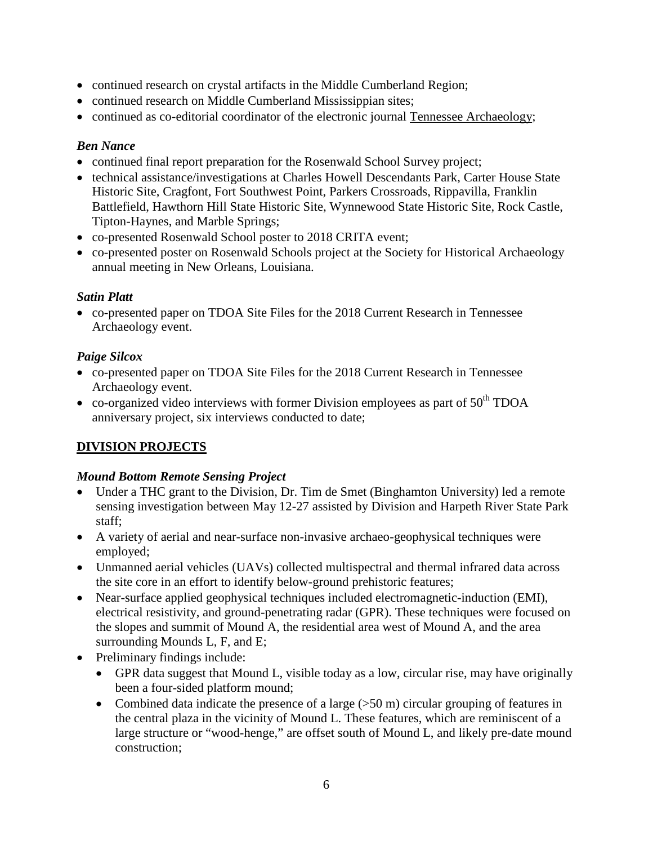- continued research on crystal artifacts in the Middle Cumberland Region;
- continued research on Middle Cumberland Mississippian sites;
- continued as co-editorial coordinator of the electronic journal Tennessee Archaeology;

## *Ben Nance*

- continued final report preparation for the Rosenwald School Survey project;
- technical assistance/investigations at Charles Howell Descendants Park, Carter House State Historic Site, Cragfont, Fort Southwest Point, Parkers Crossroads, Rippavilla, Franklin Battlefield, Hawthorn Hill State Historic Site, Wynnewood State Historic Site, Rock Castle, Tipton-Haynes, and Marble Springs;
- co-presented Rosenwald School poster to 2018 CRITA event;
- co-presented poster on Rosenwald Schools project at the Society for Historical Archaeology annual meeting in New Orleans, Louisiana.

# *Satin Platt*

• co-presented paper on TDOA Site Files for the 2018 Current Research in Tennessee Archaeology event.

# *Paige Silcox*

- co-presented paper on TDOA Site Files for the 2018 Current Research in Tennessee Archaeology event.
- co-organized video interviews with former Division employees as part of  $50<sup>th</sup> TDOA$ anniversary project, six interviews conducted to date;

# **DIVISION PROJECTS**

### *Mound Bottom Remote Sensing Project*

- Under a THC grant to the Division, Dr. Tim de Smet (Binghamton University) led a remote sensing investigation between May 12-27 assisted by Division and Harpeth River State Park staff;
- A variety of aerial and near-surface non-invasive archaeo-geophysical techniques were employed;
- Unmanned aerial vehicles (UAVs) collected multispectral and thermal infrared data across the site core in an effort to identify below-ground prehistoric features;
- Near-surface applied geophysical techniques included electromagnetic-induction (EMI), electrical resistivity, and ground-penetrating radar (GPR). These techniques were focused on the slopes and summit of Mound A, the residential area west of Mound A, and the area surrounding Mounds L, F, and E;
- Preliminary findings include:
	- GPR data suggest that Mound L, visible today as a low, circular rise, may have originally been a four-sided platform mound;
	- Combined data indicate the presence of a large  $(50 \text{ m})$  circular grouping of features in the central plaza in the vicinity of Mound L. These features, which are reminiscent of a large structure or "wood-henge," are offset south of Mound L, and likely pre-date mound construction;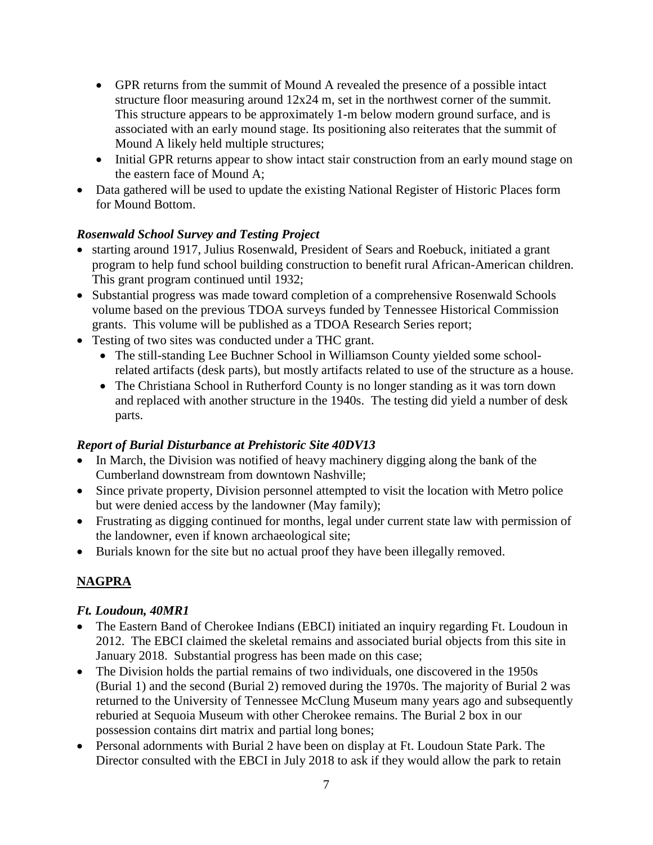- GPR returns from the summit of Mound A revealed the presence of a possible intact structure floor measuring around 12x24 m, set in the northwest corner of the summit. This structure appears to be approximately 1-m below modern ground surface, and is associated with an early mound stage. Its positioning also reiterates that the summit of Mound A likely held multiple structures;
- Initial GPR returns appear to show intact stair construction from an early mound stage on the eastern face of Mound A;
- Data gathered will be used to update the existing National Register of Historic Places form for Mound Bottom.

# *Rosenwald School Survey and Testing Project*

- starting around 1917, Julius Rosenwald, President of Sears and Roebuck, initiated a grant program to help fund school building construction to benefit rural African-American children. This grant program continued until 1932;
- Substantial progress was made toward completion of a comprehensive Rosenwald Schools volume based on the previous TDOA surveys funded by Tennessee Historical Commission grants. This volume will be published as a TDOA Research Series report;
- Testing of two sites was conducted under a THC grant.
	- The still-standing Lee Buchner School in Williamson County yielded some schoolrelated artifacts (desk parts), but mostly artifacts related to use of the structure as a house.
	- The Christiana School in Rutherford County is no longer standing as it was torn down and replaced with another structure in the 1940s. The testing did yield a number of desk parts.

# *Report of Burial Disturbance at Prehistoric Site 40DV13*

- In March, the Division was notified of heavy machinery digging along the bank of the Cumberland downstream from downtown Nashville;
- Since private property, Division personnel attempted to visit the location with Metro police but were denied access by the landowner (May family);
- Frustrating as digging continued for months, legal under current state law with permission of the landowner, even if known archaeological site;
- Burials known for the site but no actual proof they have been illegally removed.

# **NAGPRA**

### *Ft. Loudoun, 40MR1*

- The Eastern Band of Cherokee Indians (EBCI) initiated an inquiry regarding Ft. Loudoun in 2012. The EBCI claimed the skeletal remains and associated burial objects from this site in January 2018. Substantial progress has been made on this case;
- The Division holds the partial remains of two individuals, one discovered in the 1950s (Burial 1) and the second (Burial 2) removed during the 1970s. The majority of Burial 2 was returned to the University of Tennessee McClung Museum many years ago and subsequently reburied at Sequoia Museum with other Cherokee remains. The Burial 2 box in our possession contains dirt matrix and partial long bones;
- Personal adornments with Burial 2 have been on display at Ft. Loudoun State Park. The Director consulted with the EBCI in July 2018 to ask if they would allow the park to retain